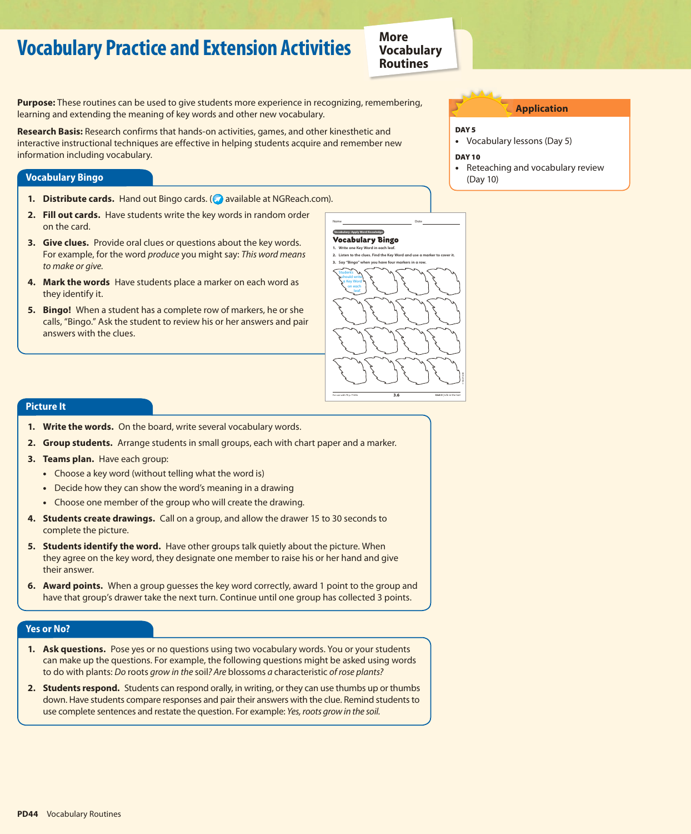# **Vocabulary Practice and Extension Activities**

**More Vocabulary Routines**

**Purpose:** These routines can be used to give students more experience in recognizing, remembering, learning and extending the meaning of key words and other new vocabulary.

**Research Basis:** Research confirms that hands-on activities, games, and other kinesthetic and interactive instructional techniques are effective in helping students acquire and remember new information including vocabulary.

#### **Vocabulary Bingo**

- **1. Distribute cards.** Hand out Bingo cards. (**a)** available at NGReach.com).
- **2. Fill out cards.** Have students write the key words in random order on the card.
- **3. Give clues.** Provide oral clues or questions about the key words. For example, for the word *produce* you might say: *This word means to make or give.*
- **4. Mark the words** Have students place a marker on each word as they identify it.
- **5. Bingo!** When a student has a complete row of markers, he or she calls, "Bingo." Ask the student to review his or her answers and pair answers with the clues.

# **Application**

### DAY<sub>5</sub>

- Vocabulary lessons (Day 5)
- Day 10
- •Reteaching and vocabulary review (Day 10)



# **Picture It**

- **1. Write the words.** On the board, write several vocabulary words.
- **2. Group students.** Arrange students in small groups, each with chart paper and a marker.
- **3. Teams plan.** Have each group:
	- Choose a key word (without telling what the word is)
	- Decide how they can show the word's meaning in a drawing
	- Choose one member of the group who will create the drawing.
- **4. Students create drawings.** Call on a group, and allow the drawer 15 to 30 seconds to complete the picture.
- **5. Students identify the word.** Have other groups talk quietly about the picture. When they agree on the key word, they designate one member to raise his or her hand and give their answer.
- **6. Award points.** When a group guesses the key word correctly, award 1 point to the group and have that group's drawer take the next turn. Continue until one group has collected 3 points.

#### **Yes or No?**

- **1. Ask questions.** Pose yes or no questions using two vocabulary words. You or your students can make up the questions. For example, the following questions might be asked using words to do with plants: *Do* roots *grow in the* soil*? Are* blossoms *a* characteristic *of rose plants?*
- **2. Students respond.** Students can respond orally, in writing, or they can use thumbs up or thumbs down. Have students compare responses and pair their answers with the clue. Remind students to use complete sentences and restate the question. For example: *Yes, roots grow in the soil.*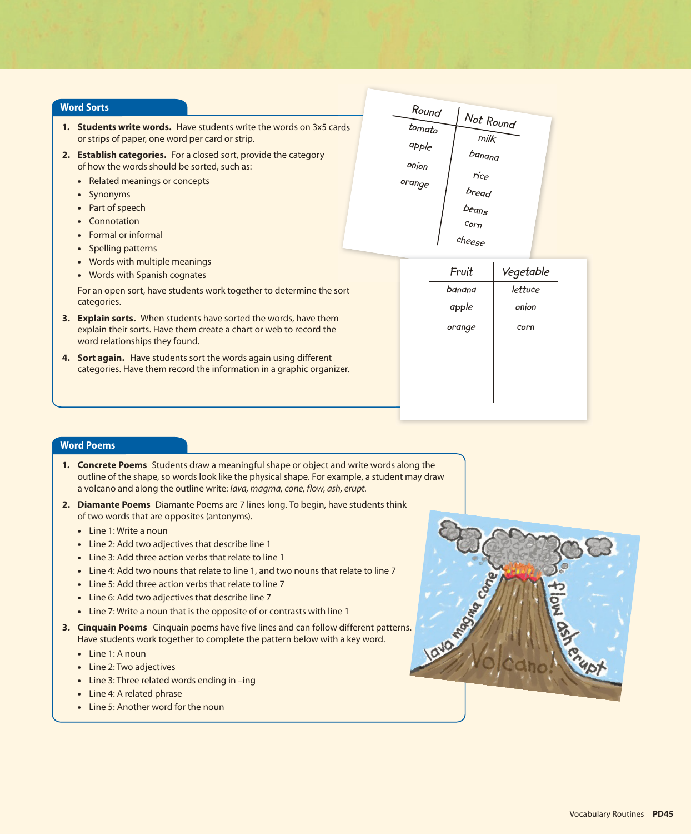#### **Word Sorts**

- **1. Students write words.** Have students write the words on 3x5 cards or strips of paper, one word per card or strip.
- **2. Establish categories.** For a closed sort, provide the category of how the words should be sorted, such as:
	- Related meanings or concepts
	- Synonyms
	- Part of speech
	- Connotation
	- Formal or informal
	- Spelling patterns
	- Words with multiple meanings
	- Words with Spanish cognates

For an open sort, have students work together to determine the sort categories.

- **3. Explain sorts.** When students have sorted the words, have them explain their sorts. Have them create a chart or web to record the word relationships they found.
- **4. Sort again.** Have students sort the words again using different categories. Have them record the information in a graphic organizer.

| Round     |                 |  |
|-----------|-----------------|--|
| to        | Not Round       |  |
| $ap$ pple | $m$ ilk         |  |
| onion     | $b$ anana       |  |
| orange    | rice            |  |
|           | bread           |  |
|           | $b_{\rm eqn_S}$ |  |
|           | Corn            |  |
|           | cheese          |  |

| Fruit  | Vegetable |
|--------|-----------|
| banana | lettuce   |
| apple  | onion     |
| orange | corn      |
|        |           |
|        |           |
|        |           |
|        |           |

# **Word Poems**

- **1. Concrete Poems** Students draw a meaningful shape or object and write words along the outline of the shape, so words look like the physical shape. For example, a student may draw a volcano and along the outline write: *lava, magma, cone, flow, ash, erupt.*
- **2. Diamante Poems** Diamante Poems are 7 lines long. To begin, have students think of two words that are opposites (antonyms).
	- Line 1: Write a noun
	- Line 2: Add two adjectives that describe line 1
	- Line 3: Add three action verbs that relate to line 1
	- Line 4: Add two nouns that relate to line 1, and two nouns that relate to line 7
	- Line 5: Add three action verbs that relate to line 7
	- Line 6: Add two adjectives that describe line 7
	- Line 7: Write a noun that is the opposite of or contrasts with line 1
- **3. Cinquain Poems** Cinquain poems have five lines and can follow different patterns. Have students work together to complete the pattern below with a key word.
	- Line 1: A noun
	- Line 2: Two adjectives
	- Line 3: Three related words ending in –ing
	- Line 4: A related phrase
	- Line 5: Another word for the noun